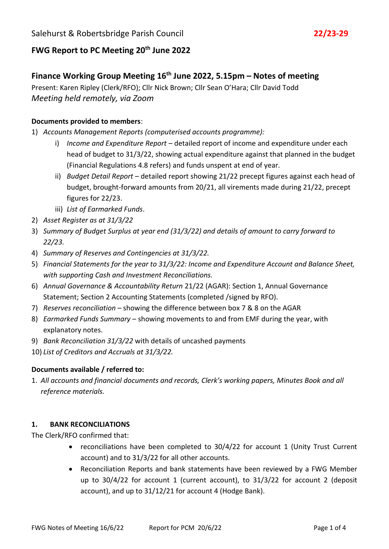# **FWG Report to PC Meeting 20th June 2022**

## **Finance Working Group Meeting 16th June 2022, 5.15pm – Notes of meeting**

Present: Karen Ripley (Clerk/RFO); Cllr Nick Brown; Cllr Sean O'Hara; Cllr David Todd *Meeting held remotely, via Zoom*

## **Documents provided to members**:

- 1) *Accounts Management Reports (computerised accounts programme):*
	- i) *Income and Expenditure Report*  detailed report of income and expenditure under each head of budget to 31/3/22, showing actual expenditure against that planned in the budget (Financial Regulations 4.8 refers) and funds unspent at end of year.
	- ii) *Budget Detail Report* detailed report showing 21/22 precept figures against each head of budget, brought-forward amounts from 20/21, all virements made during 21/22, precept figures for 22/23.
	- iii) *List of Earmarked Funds*.
- 2) *Asset Register as at 31/3/22*
- 3) *Summary of Budget Surplus at year end (31/3/22) and details of amount to carry forward to 22/23.*
- 4) *Summary of Reserves and Contingencies at 31/3/22.*
- 5) *Financial Statements for the year to 31/3/22: Income and Expenditure Account and Balance Sheet, with supporting Cash and Investment Reconciliations.*
- 6) *Annual Governance & Accountability Return* 21/22 (AGAR): Section 1, Annual Governance Statement; Section 2 Accounting Statements (completed /signed by RFO).
- 7) *Reserves reconciliation* showing the difference between box 7 & 8 on the AGAR
- 8) *Earmarked Funds Summary*  showing movements to and from EMF during the year, with explanatory notes.
- 9) *Bank Reconciliation 31/3/22* with details of uncashed payments
- 10) *List of Creditors and Accruals at 31/3/22.*

#### **Documents available / referred to:**

1. *All accounts and financial documents and records, Clerk's working papers, Minutes Book and all reference materials.*

#### **1. BANK RECONCILIATIONS**

The Clerk/RFO confirmed that:

- reconciliations have been completed to 30/4/22 for account 1 (Unity Trust Current account) and to 31/3/22 for all other accounts.
- Reconciliation Reports and bank statements have been reviewed by a FWG Member up to 30/4/22 for account 1 (current account), to 31/3/22 for account 2 (deposit account), and up to 31/12/21 for account 4 (Hodge Bank).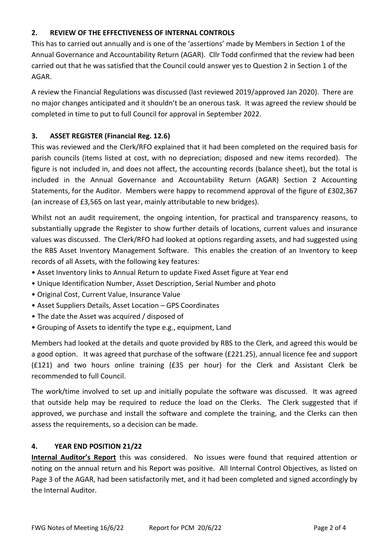## **2. REVIEW OF THE EFFECTIVENESS OF INTERNAL CONTROLS**

This has to carried out annually and is one of the 'assertions' made by Members in Section 1 of the Annual Governance and Accountability Return (AGAR). Cllr Todd confirmed that the review had been carried out that he was satisfied that the Council could answer yes to Question 2 in Section 1 of the AGAR.

A review the Financial Regulations was discussed (last reviewed 2019/approved Jan 2020). There are no major changes anticipated and it shouldn't be an onerous task. It was agreed the review should be completed in time to put to full Council for approval in September 2022.

## **3. ASSET REGISTER (Financial Reg. 12.6)**

This was reviewed and the Clerk/RFO explained that it had been completed on the required basis for parish councils (items listed at cost, with no depreciation; disposed and new items recorded). The figure is not included in, and does not affect, the accounting records (balance sheet), but the total is included in the Annual Governance and Accountability Return (AGAR) Section 2 Accounting Statements, for the Auditor. Members were happy to recommend approval of the figure of £302,367 (an increase of £3,565 on last year, mainly attributable to new bridges).

Whilst not an audit requirement, the ongoing intention, for practical and transparency reasons, to substantially upgrade the Register to show further details of locations, current values and insurance values was discussed. The Clerk/RFO had looked at options regarding assets, and had suggested using the RBS Asset Inventory Management Software. This enables the creation of an Inventory to keep records of all Assets, with the following key features:

- Asset Inventory links to Annual Return to update Fixed Asset figure at Year end
- Unique Identification Number, Asset Description, Serial Number and photo
- Original Cost, Current Value, Insurance Value
- Asset Suppliers Details, Asset Location GPS Coordinates
- The date the Asset was acquired / disposed of
- Grouping of Assets to identify the type e.g., equipment, Land

Members had looked at the details and quote provided by RBS to the Clerk, and agreed this would be a good option. It was agreed that purchase of the software (£221.25), annual licence fee and support (£121) and two hours online training (£35 per hour) for the Clerk and Assistant Clerk be recommended to full Council.

The work/time involved to set up and initially populate the software was discussed. It was agreed that outside help may be required to reduce the load on the Clerks. The Clerk suggested that if approved, we purchase and install the software and complete the training, and the Clerks can then assess the requirements, so a decision can be made.

#### **4. YEAR END POSITION 21/22**

**Internal Auditor's Report** this was considered. No issues were found that required attention or noting on the annual return and his Report was positive. All Internal Control Objectives, as listed on Page 3 of the AGAR, had been satisfactorily met, and it had been completed and signed accordingly by the Internal Auditor.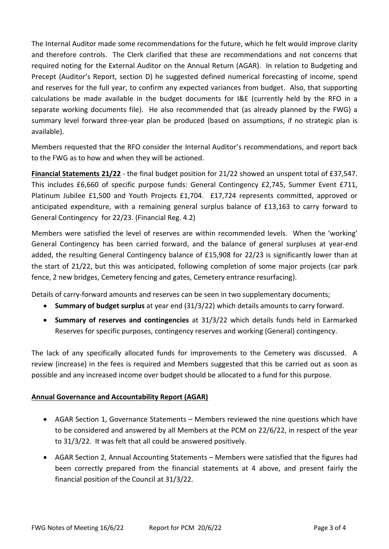The Internal Auditor made some recommendations for the future, which he felt would improve clarity and therefore controls. The Clerk clarified that these are recommendations and not concerns that required noting for the External Auditor on the Annual Return (AGAR). In relation to Budgeting and Precept (Auditor's Report, section D) he suggested defined numerical forecasting of income, spend and reserves for the full year, to confirm any expected variances from budget. Also, that supporting calculations be made available in the budget documents for I&E (currently held by the RFO in a separate working documents file). He also recommended that (as already planned by the FWG) a summary level forward three-year plan be produced (based on assumptions, if no strategic plan is available).

Members requested that the RFO consider the Internal Auditor's recommendations, and report back to the FWG as to how and when they will be actioned.

**Financial Statements 21/22** - the final budget position for 21/22 showed an unspent total of £37,547. This includes £6,660 of specific purpose funds: General Contingency £2,745, Summer Event £711, Platinum Jubilee £1,500 and Youth Projects £1,704. £17,724 represents committed, approved or anticipated expenditure, with a remaining general surplus balance of £13,163 to carry forward to General Contingency for 22/23. (Financial Reg. 4.2)

Members were satisfied the level of reserves are within recommended levels. When the 'working' General Contingency has been carried forward, and the balance of general surpluses at year-end added, the resulting General Contingency balance of £15,908 for 22/23 is significantly lower than at the start of 21/22, but this was anticipated, following completion of some major projects (car park fence, 2 new bridges, Cemetery fencing and gates, Cemetery entrance resurfacing).

Details of carry-forward amounts and reserves can be seen in two supplementary documents;

- **Summary of budget surplus** at year end (31/3/22) which details amounts to carry forward.
- **Summary of reserves and contingencies** at 31/3/22 which details funds held in Earmarked Reserves for specific purposes, contingency reserves and working (General) contingency.

The lack of any specifically allocated funds for improvements to the Cemetery was discussed. A review (increase) in the fees is required and Members suggested that this be carried out as soon as possible and any increased income over budget should be allocated to a fund for this purpose.

## **Annual Governance and Accountability Report (AGAR)**

- AGAR Section 1, Governance Statements Members reviewed the nine questions which have to be considered and answered by all Members at the PCM on 22/6/22, in respect of the year to 31/3/22. It was felt that all could be answered positively.
- AGAR Section 2, Annual Accounting Statements Members were satisfied that the figures had been correctly prepared from the financial statements at 4 above, and present fairly the financial position of the Council at 31/3/22.